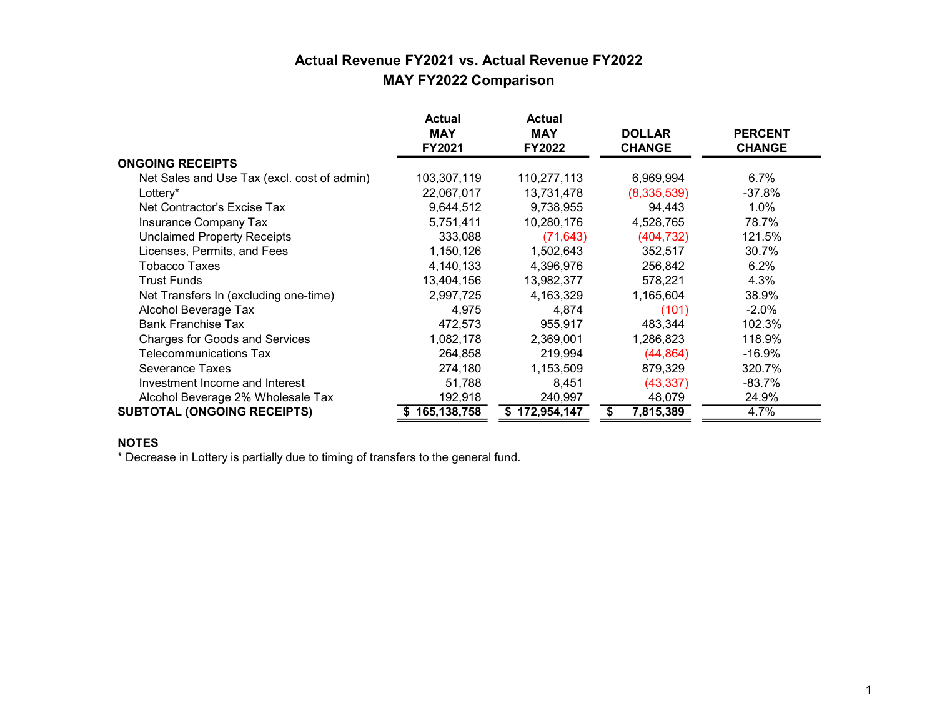## Actual Revenue FY2021 vs. Actual Revenue FY2022 MAY FY2022 Comparison

|                                             | <b>Actual</b><br><b>MAY</b><br>FY2021 | <b>Actual</b><br><b>MAY</b><br>FY2022 | <b>DOLLAR</b><br><b>CHANGE</b> | <b>PERCENT</b><br><b>CHANGE</b> |
|---------------------------------------------|---------------------------------------|---------------------------------------|--------------------------------|---------------------------------|
| <b>ONGOING RECEIPTS</b>                     |                                       |                                       |                                |                                 |
| Net Sales and Use Tax (excl. cost of admin) | 103,307,119                           | 110,277,113                           | 6,969,994                      | 6.7%                            |
| Lottery*                                    | 22,067,017                            | 13,731,478                            | (8,335,539)                    | $-37.8%$                        |
| Net Contractor's Excise Tax                 | 9,644,512                             | 9,738,955                             | 94,443                         | $1.0\%$                         |
| Insurance Company Tax                       | 5,751,411                             | 10,280,176                            | 4,528,765                      | 78.7%                           |
| <b>Unclaimed Property Receipts</b>          | 333,088                               | (71, 643)                             | (404, 732)                     | 121.5%                          |
| Licenses, Permits, and Fees                 | 1,150,126                             | 1,502,643                             | 352,517                        | 30.7%                           |
| Tobacco Taxes                               | 4,140,133                             | 4,396,976                             | 256,842                        | 6.2%                            |
| <b>Trust Funds</b>                          | 13,404,156                            | 13,982,377                            | 578,221                        | 4.3%                            |
| Net Transfers In (excluding one-time)       | 2,997,725                             | 4,163,329                             | 1,165,604                      | 38.9%                           |
| Alcohol Beverage Tax                        | 4,975                                 | 4,874                                 | (101)                          | $-2.0\%$                        |
| <b>Bank Franchise Tax</b>                   | 472,573                               | 955,917                               | 483,344                        | 102.3%                          |
| <b>Charges for Goods and Services</b>       | 1,082,178                             | 2,369,001                             | 1,286,823                      | 118.9%                          |
| <b>Telecommunications Tax</b>               | 264,858                               | 219,994                               | (44, 864)                      | $-16.9%$                        |
| Severance Taxes                             | 274,180                               | 1,153,509                             | 879,329                        | 320.7%                          |
| Investment Income and Interest              | 51,788                                | 8,451                                 | (43, 337)                      | $-83.7%$                        |
| Alcohol Beverage 2% Wholesale Tax           | 192,918                               | 240,997                               | 48,079                         | 24.9%                           |
| <b>SUBTOTAL (ONGOING RECEIPTS)</b>          | 165,138,758                           | 172,954,147                           | \$<br>7,815,389                | 4.7%                            |

#### NOTES

\* Decrease in Lottery is partially due to timing of transfers to the general fund.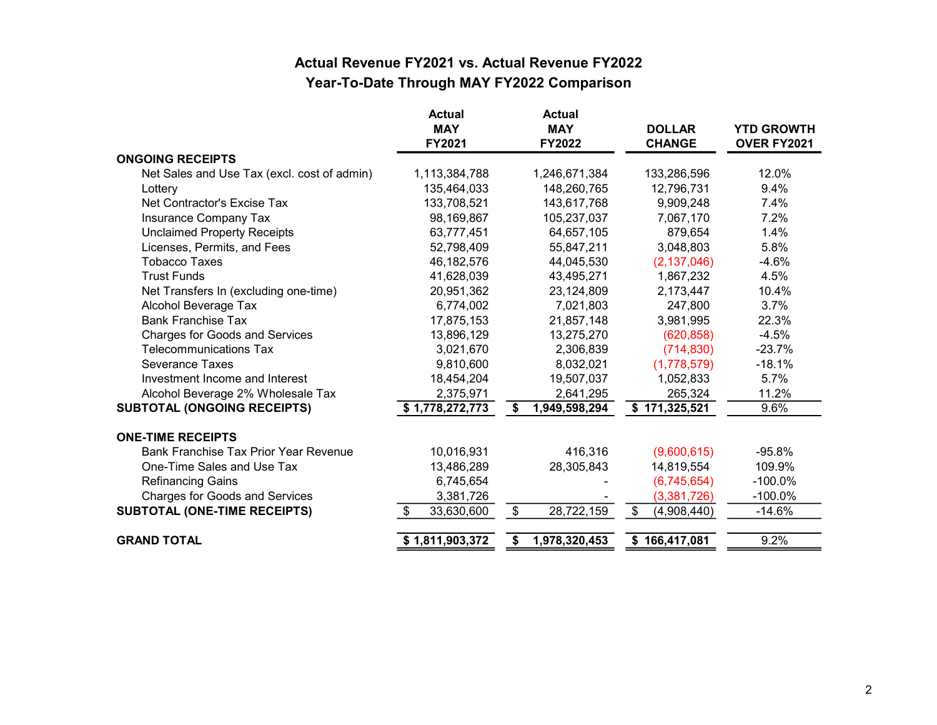## Actual Revenue FY2021 vs. Actual Revenue FY2022 Year-To-Date Through MAY FY2022 Comparison

|                                             | <b>Actual</b><br><b>MAY</b> | <b>Actual</b><br><b>MAY</b> | <b>DOLLAR</b>     | <b>YTD GROWTH</b> |
|---------------------------------------------|-----------------------------|-----------------------------|-------------------|-------------------|
|                                             | FY2021                      | FY2022                      | <b>CHANGE</b>     | OVER FY2021       |
| <b>ONGOING RECEIPTS</b>                     |                             |                             |                   |                   |
| Net Sales and Use Tax (excl. cost of admin) | 1,113,384,788               | 1,246,671,384               | 133,286,596       | 12.0%             |
| Lottery                                     | 135,464,033                 | 148,260,765                 | 12,796,731        | 9.4%              |
| Net Contractor's Excise Tax                 | 133,708,521                 | 143,617,768                 | 9,909,248         | 7.4%              |
| Insurance Company Tax                       | 98,169,867                  | 105,237,037                 | 7,067,170         | 7.2%              |
| <b>Unclaimed Property Receipts</b>          | 63,777,451                  | 64,657,105                  | 879,654           | 1.4%              |
| Licenses, Permits, and Fees                 | 52,798,409                  | 55,847,211                  | 3,048,803         | 5.8%              |
| <b>Tobacco Taxes</b>                        | 46,182,576                  | 44,045,530                  | (2, 137, 046)     | $-4.6%$           |
| <b>Trust Funds</b>                          | 41,628,039                  | 43,495,271                  | 1,867,232         | 4.5%              |
| Net Transfers In (excluding one-time)       | 20,951,362                  | 23,124,809                  | 2,173,447         | 10.4%             |
| Alcohol Beverage Tax                        | 6,774,002                   | 7,021,803                   | 247,800           | 3.7%              |
| <b>Bank Franchise Tax</b>                   | 17,875,153                  | 21,857,148                  | 3,981,995         | 22.3%             |
| <b>Charges for Goods and Services</b>       | 13,896,129                  | 13,275,270                  | (620, 858)        | $-4.5%$           |
| <b>Telecommunications Tax</b>               | 3,021,670                   | 2,306,839                   | (714, 830)        | $-23.7%$          |
| Severance Taxes                             | 9,810,600                   | 8,032,021                   | (1,778,579)       | $-18.1%$          |
| Investment Income and Interest              | 18,454,204                  | 19,507,037                  | 1,052,833         | 5.7%              |
| Alcohol Beverage 2% Wholesale Tax           | 2,375,971                   | 2,641,295                   | 265,324           | 11.2%             |
| <b>SUBTOTAL (ONGOING RECEIPTS)</b>          | \$1,778,272,773             | \$<br>1,949,598,294         | \$171,325,521     | 9.6%              |
| <b>ONE-TIME RECEIPTS</b>                    |                             |                             |                   |                   |
| Bank Franchise Tax Prior Year Revenue       | 10,016,931                  | 416,316                     | (9,600,615)       | $-95.8%$          |
| One-Time Sales and Use Tax                  | 13,486,289                  | 28,305,843                  | 14,819,554        | 109.9%            |
| <b>Refinancing Gains</b>                    | 6,745,654                   |                             | (6,745,654)       | $-100.0\%$        |
| <b>Charges for Goods and Services</b>       | 3,381,726                   |                             | (3,381,726)       | $-100.0\%$        |
| <b>SUBTOTAL (ONE-TIME RECEIPTS)</b>         | 33,630,600<br>-SS           | \$<br>28,722,159            | \$<br>(4,908,440) | $-14.6%$          |
| <b>GRAND TOTAL</b>                          | \$1,811,903,372             | 1,978,320,453<br>\$         | \$166,417,081     | 9.2%              |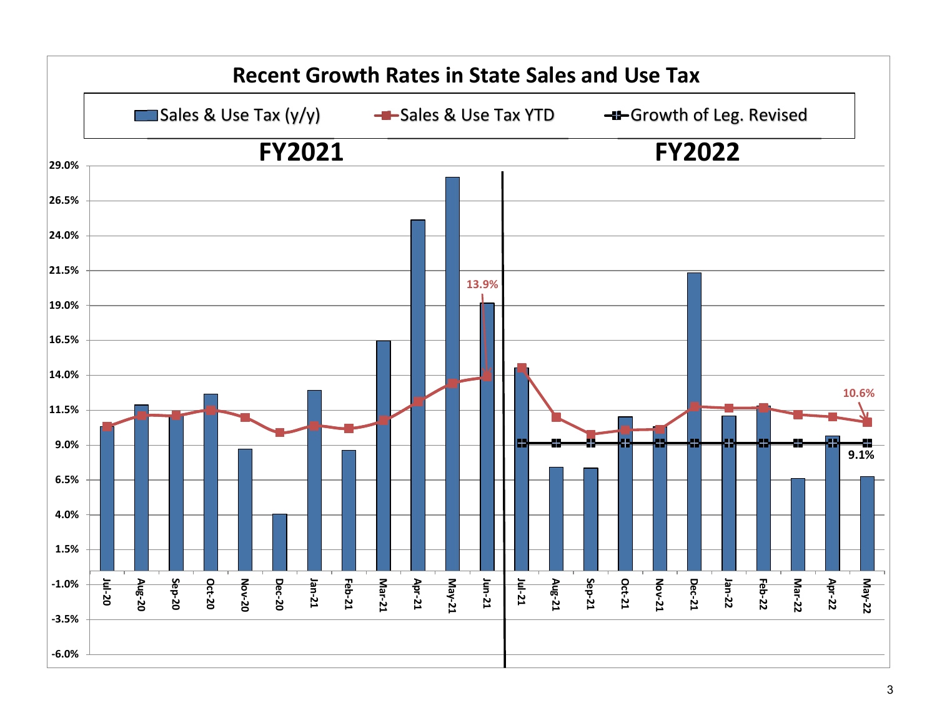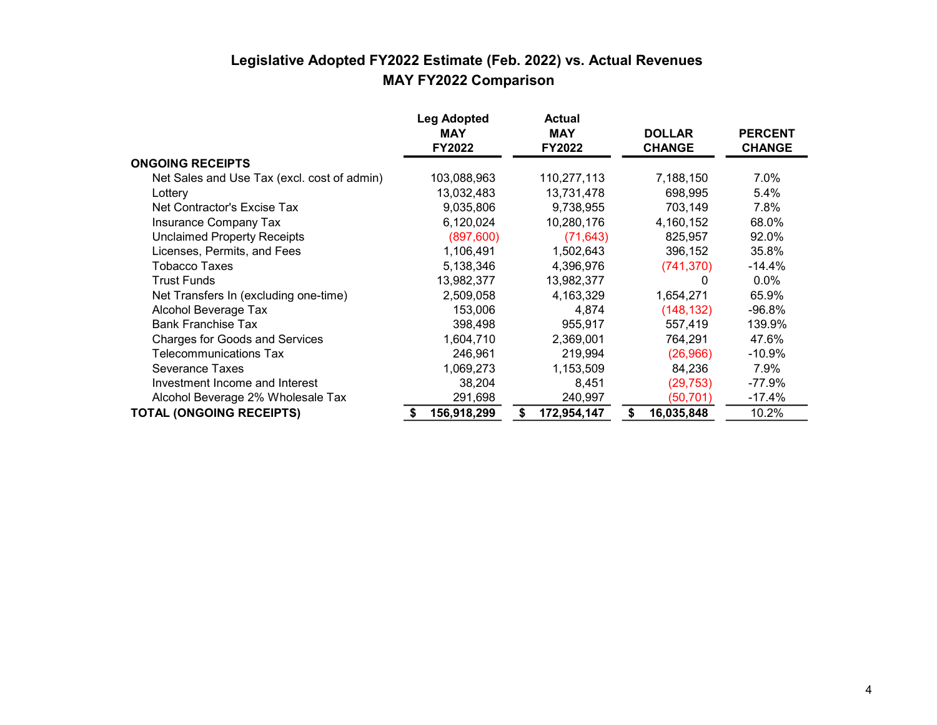#### Legislative Adopted FY2022 Estimate (Feb. 2022) vs. Actual Revenues MAY FY2022 Comparison

|                                             | <b>Leg Adopted</b><br><b>MAY</b><br><b>FY2022</b> | <b>Actual</b><br><b>MAY</b><br><b>FY2022</b> | <b>DOLLAR</b><br><b>CHANGE</b> | <b>PERCENT</b><br><b>CHANGE</b> |
|---------------------------------------------|---------------------------------------------------|----------------------------------------------|--------------------------------|---------------------------------|
| <b>ONGOING RECEIPTS</b>                     |                                                   |                                              |                                |                                 |
| Net Sales and Use Tax (excl. cost of admin) | 103,088,963                                       | 110,277,113                                  | 7,188,150                      | 7.0%                            |
| Lottery                                     | 13,032,483                                        | 13,731,478                                   | 698,995                        | 5.4%                            |
| Net Contractor's Excise Tax                 | 9,035,806                                         | 9,738,955                                    | 703,149                        | 7.8%                            |
| <b>Insurance Company Tax</b>                | 6,120,024                                         | 10,280,176                                   | 4,160,152                      | 68.0%                           |
| <b>Unclaimed Property Receipts</b>          | (897, 600)                                        | (71, 643)                                    | 825,957                        | 92.0%                           |
| Licenses, Permits, and Fees                 | 1,106,491                                         | 1,502,643                                    | 396,152                        | 35.8%                           |
| Tobacco Taxes                               | 5,138,346                                         | 4,396,976                                    | (741, 370)                     | -14.4%                          |
| <b>Trust Funds</b>                          | 13,982,377                                        | 13,982,377                                   | 0                              | $0.0\%$                         |
| Net Transfers In (excluding one-time)       | 2,509,058                                         | 4,163,329                                    | 1,654,271                      | 65.9%                           |
| Alcohol Beverage Tax                        | 153,006                                           | 4,874                                        | (148, 132)                     | $-96.8%$                        |
| <b>Bank Franchise Tax</b>                   | 398,498                                           | 955,917                                      | 557,419                        | 139.9%                          |
| <b>Charges for Goods and Services</b>       | 1,604,710                                         | 2,369,001                                    | 764,291                        | 47.6%                           |
| Telecommunications Tax                      | 246,961                                           | 219,994                                      | (26,966)                       | -10.9%                          |
| Severance Taxes                             | 1,069,273                                         | 1,153,509                                    | 84,236                         | 7.9%                            |
| Investment Income and Interest              | 38,204                                            | 8,451                                        | (29, 753)                      | $-77.9%$                        |
| Alcohol Beverage 2% Wholesale Tax           | 291,698                                           | 240,997                                      | (50, 701)                      | $-17.4%$                        |
| <b>TOTAL (ONGOING RECEIPTS)</b>             | 156,918,299                                       | 172,954,147                                  | 16,035,848<br>S                | 10.2%                           |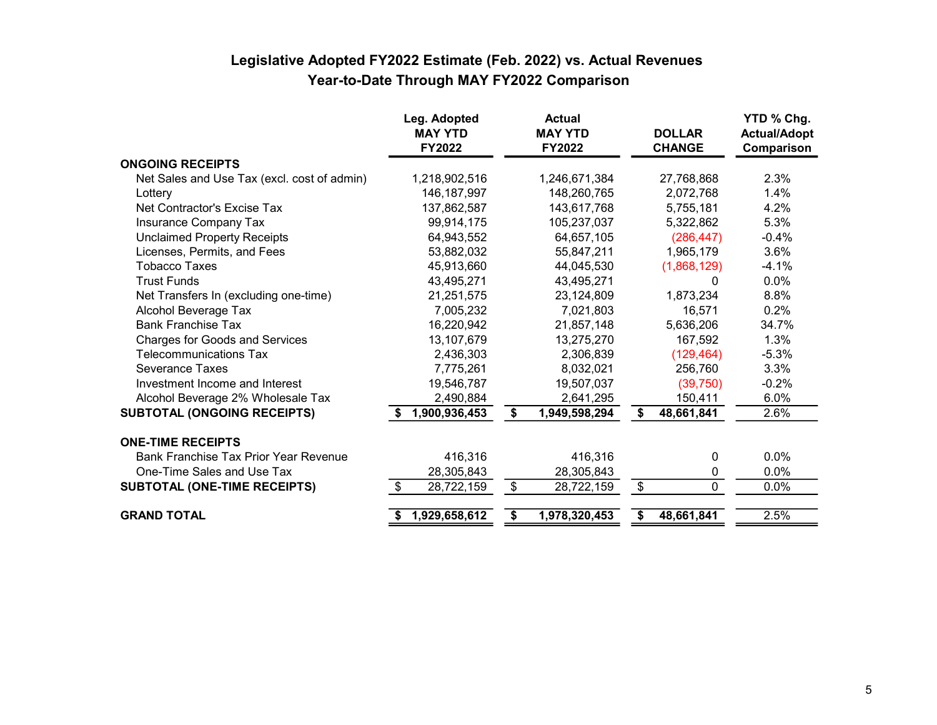# Legislative Adopted FY2022 Estimate (Feb. 2022) vs. Actual Revenues Year-to-Date Through MAY FY2022 Comparison

|                                             | Leg. Adopted<br><b>MAY YTD</b><br><b>FY2022</b> |               | <b>Actual</b><br><b>MAY YTD</b><br><b>FY2022</b> |               | <b>DOLLAR</b><br><b>CHANGE</b> | YTD % Chg.<br><b>Actual/Adopt</b><br>Comparison |
|---------------------------------------------|-------------------------------------------------|---------------|--------------------------------------------------|---------------|--------------------------------|-------------------------------------------------|
| <b>ONGOING RECEIPTS</b>                     |                                                 |               |                                                  |               |                                |                                                 |
| Net Sales and Use Tax (excl. cost of admin) | 1,218,902,516                                   |               | 1,246,671,384                                    |               | 27,768,868                     | 2.3%                                            |
| Lottery                                     | 146, 187, 997                                   |               | 148,260,765                                      |               | 2,072,768                      | 1.4%                                            |
| Net Contractor's Excise Tax                 | 137,862,587                                     |               | 143,617,768                                      |               | 5,755,181                      | 4.2%                                            |
| Insurance Company Tax                       | 99,914,175                                      |               | 105,237,037                                      |               | 5,322,862                      | 5.3%                                            |
| <b>Unclaimed Property Receipts</b>          | 64,943,552                                      |               | 64,657,105                                       |               | (286, 447)                     | $-0.4%$                                         |
| Licenses, Permits, and Fees                 | 53,882,032                                      |               | 55,847,211                                       |               | 1,965,179                      | 3.6%                                            |
| Tobacco Taxes                               | 45,913,660                                      |               | 44,045,530                                       |               | (1,868,129)                    | $-4.1%$                                         |
| <b>Trust Funds</b>                          | 43,495,271                                      |               | 43,495,271                                       |               | 0                              | 0.0%                                            |
| Net Transfers In (excluding one-time)       | 21,251,575                                      |               | 23,124,809                                       |               | 1,873,234                      | 8.8%                                            |
| Alcohol Beverage Tax                        | 7,005,232                                       |               | 7,021,803                                        |               | 16,571                         | 0.2%                                            |
| <b>Bank Franchise Tax</b>                   | 16,220,942                                      |               | 21,857,148                                       |               | 5,636,206                      | 34.7%                                           |
| <b>Charges for Goods and Services</b>       | 13,107,679                                      |               | 13,275,270                                       |               | 167,592                        | 1.3%                                            |
| <b>Telecommunications Tax</b>               | 2,436,303                                       |               | 2,306,839                                        |               | (129, 464)                     | $-5.3%$                                         |
| Severance Taxes                             | 7,775,261                                       |               | 8,032,021                                        |               | 256,760                        | 3.3%                                            |
| Investment Income and Interest              | 19,546,787                                      |               | 19,507,037                                       |               | (39,750)                       | $-0.2%$                                         |
| Alcohol Beverage 2% Wholesale Tax           | 2,490,884                                       |               | 2,641,295                                        |               | 150,411                        | 6.0%                                            |
| <b>SUBTOTAL (ONGOING RECEIPTS)</b>          | 1,900,936,453                                   | \$            | 1,949,598,294                                    | Ŝ.            | 48,661,841                     | 2.6%                                            |
| <b>ONE-TIME RECEIPTS</b>                    |                                                 |               |                                                  |               |                                |                                                 |
| Bank Franchise Tax Prior Year Revenue       | 416,316                                         |               | 416,316                                          |               | 0                              | 0.0%                                            |
| One-Time Sales and Use Tax                  | 28,305,843                                      |               | 28,305,843                                       |               | 0                              | 0.0%                                            |
| <b>SUBTOTAL (ONE-TIME RECEIPTS)</b>         | 28,722,159<br>\$                                | $\frac{3}{2}$ | 28,722,159                                       | $\frac{1}{2}$ | 0                              | 0.0%                                            |
| <b>GRAND TOTAL</b>                          | 1,929,658,612                                   | \$            | 1,978,320,453                                    |               | 48,661,841                     | 2.5%                                            |